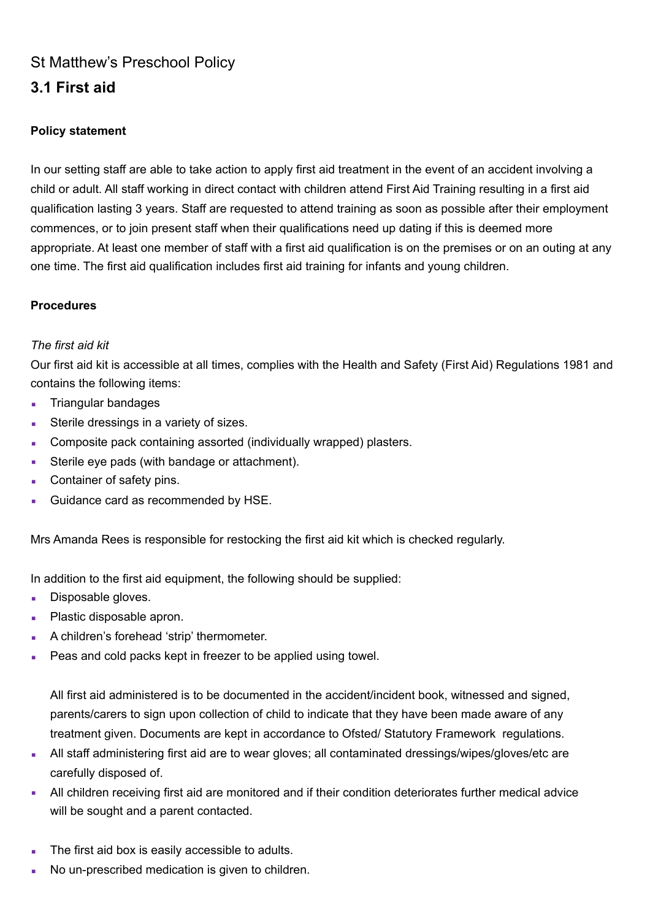# St Matthew's Preschool Policy

# **3.1 First aid**

## **Policy statement**

In our setting staff are able to take action to apply first aid treatment in the event of an accident involving a child or adult. All staff working in direct contact with children attend First Aid Training resulting in a first aid qualification lasting 3 years. Staff are requested to attend training as soon as possible after their employment commences, or to join present staff when their qualifications need up dating if this is deemed more appropriate. At least one member of staff with a first aid qualification is on the premises or on an outing at any one time. The first aid qualification includes first aid training for infants and young children.

### **Procedures**

### *The first aid kit*

Our first aid kit is accessible at all times, complies with the Health and Safety (First Aid) Regulations 1981 and contains the following items:

- **Triangular bandages**
- **EXECUTE:** Sterile dressings in a variety of sizes.
- Composite pack containing assorted (individually wrapped) plasters.
- Sterile eye pads (with bandage or attachment).
- Container of safety pins.
- Guidance card as recommended by HSE.

Mrs Amanda Rees is responsible for restocking the first aid kit which is checked regularly.

In addition to the first aid equipment, the following should be supplied:

- Disposable gloves.
- Plastic disposable apron.
- **A children's forehead 'strip' thermometer.**
- Peas and cold packs kept in freezer to be applied using towel.

All first aid administered is to be documented in the accident/incident book, witnessed and signed, parents/carers to sign upon collection of child to indicate that they have been made aware of any treatment given. Documents are kept in accordance to Ofsted/ Statutory Framework regulations.

- All staff administering first aid are to wear gloves; all contaminated dressings/wipes/gloves/etc are carefully disposed of.
- **EXECT All children receiving first aid are monitored and if their condition deteriorates further medical advice** will be sought and a parent contacted.
- The first aid box is easily accessible to adults.
- No un-prescribed medication is given to children.